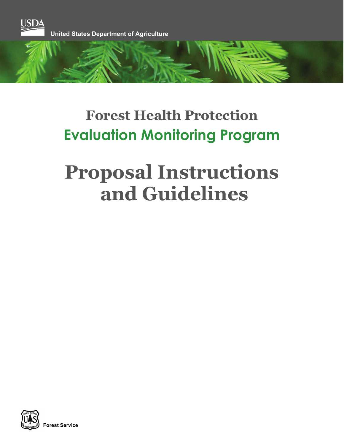

# **Forest Health Protection Evaluation Monitoring Program**

# **Proposal Instructions and Guidelines**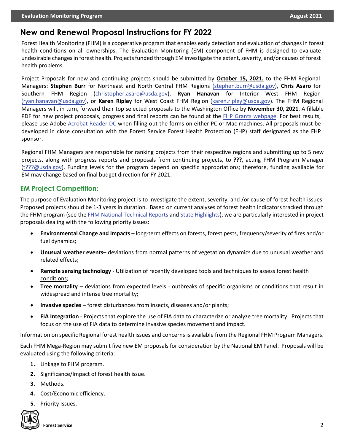### **New and Renewal Proposal Instructions for FY 2022**

Forest Health Monitoring (FHM) is a cooperative program that enables early detection and evaluation of changes in forest health conditions on all ownerships. The Evaluation Monitoring (EM) component of FHM is designed to evaluate undesirable changes in forest health. Projects funded through EM investigate the extent, severity, and/or causes of forest health problems.

Project Proposals for new and continuing projects should be submitted by **October 15, 2021.** to the FHM Regional Managers: **Stephen Burr** for Northeast and North Central FHM Regions [\(stephen.burr@usda.gov\)](mailto:(stephen.burr@usda.gov), **Chris Asaro** for Southern FHM Region [\(christopher.asaro@usda.gov\),](mailto:christopher.asaro@usda.gov) **Ryan Hanavan** for Interior West FHM Region [\(ryan.hanavan@usda.gov\)](mailto:(ryan.hanavan@usda.gov), or **Karen Ripley** for West Coast FHM Region [\(karen.ripley@usda.gov\)](mailto:karen.ripley@usda.gov). The FHM Regional Managers will, in turn, forward their top selected proposals to the Washington Office by **November 30, 2021**. A fillable PDF for new project proposals, progress and final reports can be found at the [FHP Grants webpage.](https://www.fs.fed.us/foresthealth/working-with-us/index.shtml) For best results, please use Adobe [Acrobat Reader DC](https://get.adobe.com/reader/) when filling out the forms on either PC or Mac machines. All proposals must be developed in close consultation with the Forest Service Forest Health Protection (FHP) staff designated as the FHP sponsor.

Regional FHM Managers are responsible for ranking projects from their respective regions and submitting up to 5 new projects, along with progress reports and proposals from continuing projects, to **Joel Eagen**, acting FHM Program [Manager \(](mailto:joel.eagen@usda.gov)joel.eagen@usda.gov). Funding levels for the program depend on specific appropriations; therefore, funding available for EM may change based on final budget direction for FY 2021.

#### **EM Project Competition:**

The purpose of Evaluation Monitoring project is to investigate the extent, severity, and /or cause of forest health issues. Proposed projects should be 1-3 years in duration. Based on current analyses of forest health indicators tracked through the FHM program (see the [FHM National Technical Reports](https://www.fs.fed.us/foresthealth/publications/fhm/fhm-annual-national-reports.shtml) and [State Highlights\),](https://www.fs.fed.us/foresthealth/protecting-forest/forest-health-monitoring/monitoring-forest-highlights.shtml) we are particularly interested in project proposals dealing with the following priority issues:

- **Environmental Change and Impacts** long-term effects on forests, forest pests, frequency/severity of fires and/or fuel dynamics;
- **Unusual weather events** deviations from normal patterns of vegetation dynamics due to unusual weather and related effects;
- **Remote sensing technology** Utilization of recently developed tools and techniques to assess forest health conditions;
- **Tree mortality** deviations from expected levels outbreaks of specific organisms or conditions that result in widespread and intense tree mortality;
- **Invasive species** forest disturbances from insects, diseases and/or plants;
- **FIA Integration** Projects that explore the use of FIA data to characterize or analyze tree mortality. Projects that focus on the use of FIA data to determine invasive species movement and impact.

Information on specific Regional forest health issues and concerns is available from the Regional FHM Program Managers.

Each FHM Mega-Region may submit five new EM proposals for consideration by the National EM Panel. Proposals will be evaluated using the following criteria:

- **1.** Linkage to FHM program.
- **2.** Significance/Impact of forest health issue.
- **3.** Methods.
- **4.** Cost/Economic efficiency.
- **5.** Priority Issues.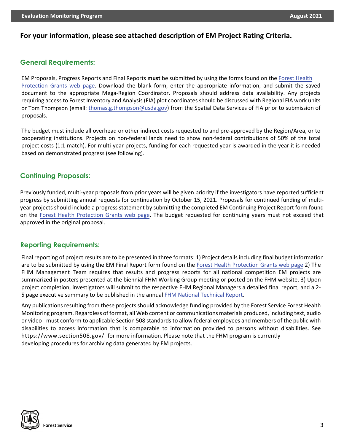#### **For your information, please see attached description of EM Project Rating Criteria.**

#### **General Requirements:**

EM Proposals, Progress Reports and Final Reports **must** be submitted by using the forms found on the [Forest Health](https://www.fs.fed.us/foresthealth/working-with-us/index.shtml) [Protection Grants](https://www.fs.fed.us/foresthealth/grants.shtml) web page. Download the blank form, enter the appropriate information, and submit the saved document to the appropriate Mega-Region Coordinator. Proposals should address data availability. Any projects requiring access to Forest Inventory and Analysis (FIA) plot coordinates should be discussed with Regional FIA work units or Tom Thompson (email: [thomas.g.thompson@usda.gov\) f](mailto:thomas.g.thompson@usda.gov)rom the Spatial Data Services of FIA prior to submission of proposals.

The budget must include all overhead or other indirect costs requested to and pre-approved by the Region/Area, or to cooperating institutions. Projects on non-federal lands need to show non-federal contributions of 50% of the total project costs (1:1 match). For multi-year projects, funding for each requested year is awarded in the year it is needed based on demonstrated progress (see following).

#### **Continuing Proposals:**

Previously funded, multi-year proposals from prior years will be given priority if the investigators have reported sufficient progress by submitting annual requests for continuation by October 15, 2021. Proposals for continued funding of multiyear projects should include a progress statement by submitting the completed EM Continuing Project Report form found on the [Forest Health Protection Grants web page.](https://www.fs.fed.us/foresthealth/working-with-us/index.shtml) The budget requested for continuing years must not exceed that approved in the original proposal.

#### **Reporting Requirements:**

Final reporting of project results are to be presented in three formats: 1) Project details including final budget information are to be submitted by using the EM Final Report form found on the [Forest Health Protection Grants web](https://www.fs.fed.us/foresthealth/working-with-us/index.shtml) page 2) The FHM Management Team requires that results and progress reports for all national competition EM projects are summarized in posters presented at the biennial FHM Working Group meeting or posted on the FHM website. 3) Upon project completion, investigators will submit to the respective FHM Regional Managers a detailed final report, and a 2- 5 page executive summary to be published in the annual [FHM National Technical Report.](https://www.fs.fed.us/foresthealth/publications/fhm/fhm-annual-national-reports.shtml)

Any publications resulting from these projects should acknowledge funding provided by the Forest Service Forest Health Monitoring program. Regardless of format, all Web content or communications materials produced, including text, audio or video - must conform to applicable Section 508 standards to allow federal employees and members of the public with disabilities to access information that is comparable to information provided to persons without disabilities. See [https://www.section508.gov/](http://www.section508.gov/) for more information. Please note that the FHM program is currently developing procedures for archiving data generated by EM projects.